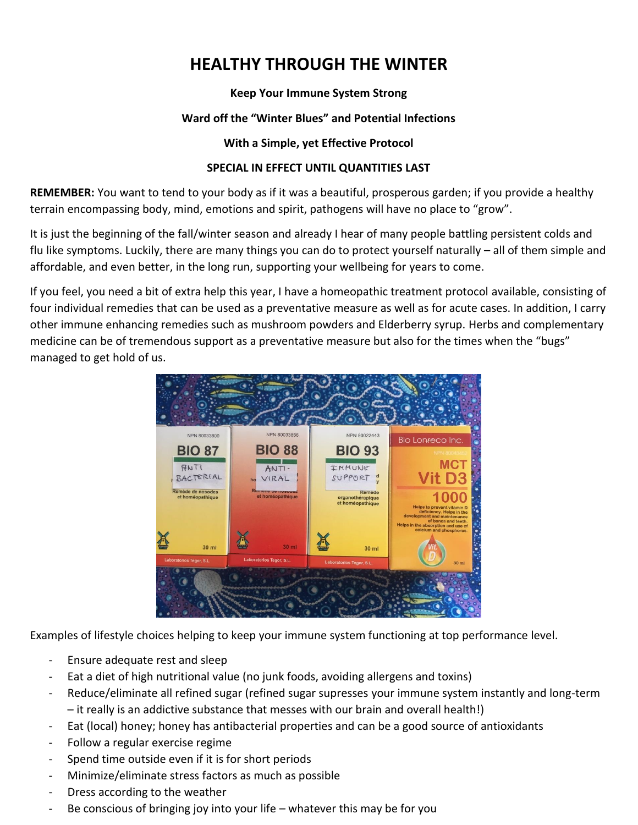# **HEALTHY THROUGH THE WINTER**

## **Keep Your Immune System Strong**

# **Ward off the "Winter Blues" and Potential Infections**

#### **With a Simple, yet Effective Protocol**

## **SPECIAL IN EFFECT UNTIL QUANTITIES LAST**

**REMEMBER:** You want to tend to your body as if it was a beautiful, prosperous garden; if you provide a healthy terrain encompassing body, mind, emotions and spirit, pathogens will have no place to "grow".

It is just the beginning of the fall/winter season and already I hear of many people battling persistent colds and flu like symptoms. Luckily, there are many things you can do to protect yourself naturally – all of them simple and affordable, and even better, in the long run, supporting your wellbeing for years to come.

If you feel, you need a bit of extra help this year, I have a homeopathic treatment protocol available, consisting of four individual remedies that can be used as a preventative measure as well as for acute cases. In addition, I carry other immune enhancing remedies such as mushroom powders and Elderberry syrup. Herbs and complementary medicine can be of tremendous support as a preventative measure but also for the times when the "bugs" managed to get hold of us.



Examples of lifestyle choices helping to keep your immune system functioning at top performance level.

- Ensure adequate rest and sleep
- Eat a diet of high nutritional value (no junk foods, avoiding allergens and toxins)
- Reduce/eliminate all refined sugar (refined sugar supresses your immune system instantly and long-term – it really is an addictive substance that messes with our brain and overall health!)
- Eat (local) honey; honey has antibacterial properties and can be a good source of antioxidants
- Follow a regular exercise regime
- Spend time outside even if it is for short periods
- Minimize/eliminate stress factors as much as possible
- Dress according to the weather
- Be conscious of bringing joy into your life whatever this may be for you